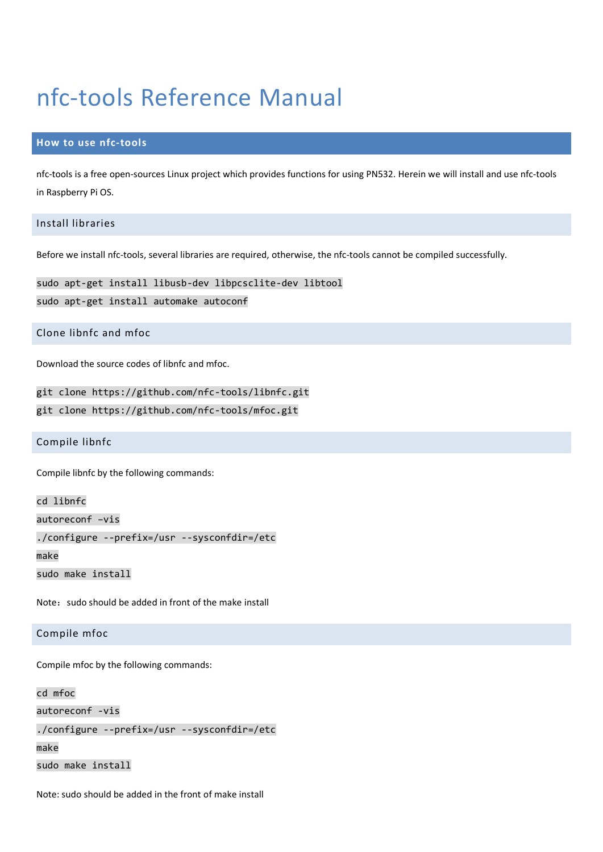# nfc-tools Reference Manual

## **How to use nfc-tools**

nfc-tools is a free open-sources Linux project which provides functions for using PN532. Herein we will install and use nfc-tools in Raspberry Pi OS.

# Install libraries

Before we install nfc-tools, several libraries are required, otherwise, the nfc-tools cannot be compiled successfully.

sudo apt-get install libusb-dev libpcsclite-dev libtool sudo apt-get install automake autoconf

Clone libnfc and mfoc

Download the source codes of libnfc and mfoc.

git clone https://github.com/nfc-tools/libnfc.git

git clone https://github.com/nfc-tools/mfoc.git

Compile libnfc

Compile libnfc by the following commands:

cd libnfc

autoreconf –vis

./configure --prefix=/usr --sysconfdir=/etc

make

sudo make install

Note: sudo should be added in front of the make install

#### Compile mfoc

Compile mfoc by the following commands:

#### cd mfoc

```
autoreconf -vis
```
./configure --prefix=/usr --sysconfdir=/etc

```
make
```
sudo make install

Note: sudo should be added in the front of make install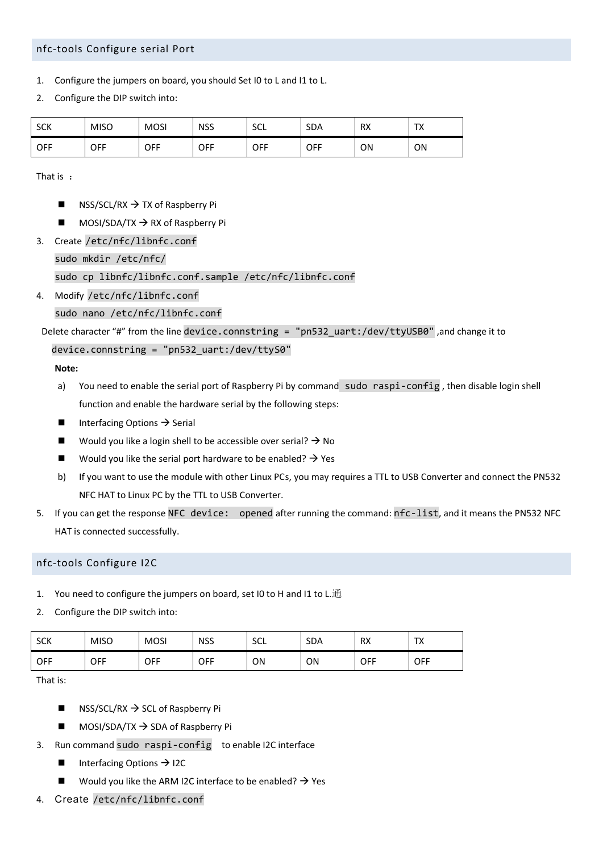## nfc-tools Configure serial Port

- 1. Configure the jumpers on board, you should Set I0 to L and I1 to L.
- 2. Configure the DIP switch into:

| <b>SCK</b> | <b>MISO</b> | <b>MOSI</b> | <b>NSS</b> | <b>SCL</b> | <b>SDA</b> | <b>RX</b> | T <sub>1</sub><br>$\sqrt{ }$ |
|------------|-------------|-------------|------------|------------|------------|-----------|------------------------------|
| <b>OFF</b> | OFF         | OFF         | OFF        | OFF        | OFF        | ΟN        | ON                           |

That is :

- NSS/SCL/RX  $\rightarrow$  TX of Raspberry Pi
- $\blacksquare$  MOSI/SDA/TX  $\rightarrow$  RX of Raspberry Pi
- 3. Create /etc/nfc/libnfc.conf

sudo mkdir /etc/nfc/

sudo cp libnfc/libnfc.conf.sample /etc/nfc/libnfc.conf

4. Modify /etc/nfc/libnfc.conf

sudo nano /etc/nfc/libnfc.conf

Delete character "#" from the line device.connstring = "pn532\_uart:/dev/ttyUSB0" ,and change it to

## device.connstring = "pn532\_uart:/dev/ttyS0"

**Note:**

- a) You need to enable the serial port of Raspberry Pi by command sudo raspi-config , then disable login shell function and enable the hardware serial by the following steps:
- Interfacing Options  $\rightarrow$  Serial
- Would you like a login shell to be accessible over serial?  $\rightarrow$  No
- Would you like the serial port hardware to be enabled?  $\rightarrow$  Yes
- b) If you want to use the module with other Linux PCs, you may requires a TTL to USB Converter and connect the PN532 NFC HAT to Linux PC by the TTL to USB Converter.
- 5. If you can get the response NFC device: opened after running the command: nfc-list, and it means the PN532 NFC HAT is connected successfully.

#### nfc-tools Configure I2C

- 1. You need to configure the jumpers on board, set I0 to H and I1 to L.通
- 2. Configure the DIP switch into:

| <b>SCK</b> | <b>MISO</b> | <b>MOSI</b> | <b>NSS</b> | <b>SCL</b> | <b>SDA</b> | <b>RX</b> | тv<br>$\overline{1\wedge}$ |
|------------|-------------|-------------|------------|------------|------------|-----------|----------------------------|
| <b>OFF</b> | OFF         | OFF         | OFF        | ON         | ON         | OFF       | <b>OFF</b>                 |

That is:

- NSS/SCL/RX  $\rightarrow$  SCL of Raspberry Pi
- $\blacksquare$  MOSI/SDA/TX  $\rightarrow$  SDA of Raspberry Pi
- 3. Run command sudo raspi-config to enable I2C interface
	- Interfacing Options  $\rightarrow$  I2C
	- Would you like the ARM I2C interface to be enabled?  $\rightarrow$  Yes
- 4. Create /etc/nfc/libnfc.conf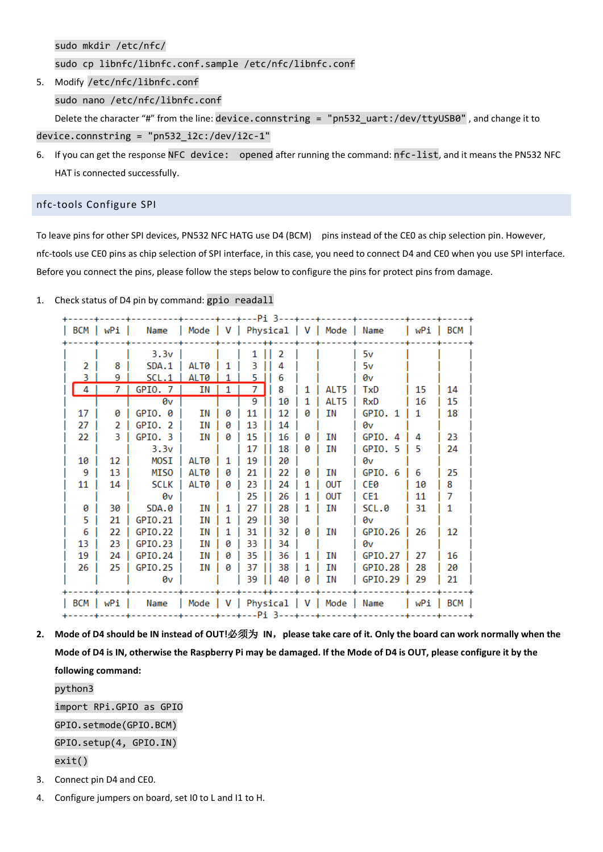sudo mkdir /etc/nfc/

sudo cp libnfc/libnfc.conf.sample /etc/nfc/libnfc.conf

5. Modify /etc/nfc/libnfc.conf sudo nano /etc/nfc/libnfc.conf Delete the character "#" from the line: device.connstring = "pn532\_uart:/dev/ttyUSB0" , and change it to

device.connstring = "pn532\_i2c:/dev/i2c-1"

6. If you can get the response NFC device: opened after running the command: nfc-list, and it means the PN532 NFC HAT is connected successfully.

#### nfc-tools Configure SPI

To leave pins for other SPI devices, PN532 NFC HATG use D4 (BCM) pins instead of the CE0 as chip selection pin. However, nfc-tools use CE0 pins as chip selection of SPI interface, in this case, you need to connect D4 and CE0 when you use SPI interface. Before you connect the pins, please follow the steps below to configure the pins for protect pins from damage.

1. Check status of D4 pin by command: gpio readall

|       | BCM   wPi | Name   Mode   V   Physical   V   Mode   Name |             |   |       | +---Pi 3---+---+ |   |                                       |         |       | wPi   BCM |
|-------|-----------|----------------------------------------------|-------------|---|-------|------------------|---|---------------------------------------|---------|-------|-----------|
|       |           | 3.3v                                         |             |   | 1     | 2                |   |                                       | 5v      |       |           |
| 2     | 8         | SDA.1                                        | ALT0        |   | З     |                  |   |                                       | 5v      |       |           |
|       | 9         | SCL.1                                        | ALT0        |   | 5.    | 6                |   |                                       | 0v      |       |           |
| 4     | 7         | GPIO. 7                                      | ΙN          | 1 | 7     | 8                | 1 | ALT5                                  | TxD     | 15    | 14        |
|       |           | 0v                                           |             |   | 9     | 10               |   | ALT5                                  | RxD     | 16    | 15        |
| 17    | 0         | $GPIO.$ $0$                                  | ΙN          | 0 | 11    | 12               | ø | ΙN                                    | GPIO. 1 | 1     | 18        |
| 27    | 2         | GPIO. 2                                      | ΙN          | ø | 13    | 14               |   |                                       | 0v      |       |           |
| 22    | 3         | GPIO.3                                       | ΙN          | ø | 15    | 16               | 0 | ΙN                                    | GPIO.4  | 4     | 23        |
|       |           | 3.3v                                         |             |   | 17    | 18               | ø | ΙN                                    | GPIO. 5 | 5     | 24        |
| 10    | 12        | MOSI                                         | AI T0       |   | 19    | 20               |   |                                       | 0v      |       |           |
| 9     | 13        | <b>MISO</b>                                  | ALT0        | ø | 21    | 22               | 0 | ΙN                                    | GPIO.6  | 6     | 25        |
| 11    | 14        | <b>SCLK</b>                                  | <b>ALT0</b> | ø | 23    | 24               | 1 | OUT                                   | CE0     | 10    | 8         |
|       |           | 0v                                           |             |   | 25    | 26               | 1 | OUT                                   | CE1     | 11    | 7         |
| 0     | 30        | SDA.0                                        | ΙN          |   | 27    | 28               |   | ΙN                                    | SCL.0   | 31    | 1         |
| 5     | 21        | GPI0.21                                      | ΙN          |   | 29    | 30               |   |                                       | 0v      |       |           |
| 6     | 22        | GPI0.22                                      | ΙN          |   | 31    | 32               | ø | ΙN                                    | GPI0.26 | 26    | 12        |
| 13    | 23        | GPI0.23                                      | ΙN          | ø | 33    | 34               |   |                                       | 0v      |       |           |
| 19    | 24        | GPI0.24                                      | ΙN          | ø | 35    | 36               | 1 | ΙN                                    | GPI0.27 | 27    | 16        |
| 26    | 25        | GPI0.25                                      | ΙN          | ø | 37    | 38               | 1 | ΙN                                    | GPI0.28 | 28    | 20        |
|       |           | 0v                                           |             |   | 39 II | 40               | 0 | ΙN                                    | GPIO.29 | 29    | 21        |
| l BCM | wPi       | Name                                         |             |   |       |                  |   | Mode   V   Physical   V   Mode   Name |         | l wPi | BCM       |

**2. Mode of D4 should be IN instead of OUT!**必须为 **IN**,**please take care of it. Only the board can work normally when the Mode of D4 is IN, otherwise the Raspberry Pi may be damaged. If the Mode of D4 is OUT, please configure it by the following command:** python3

import RPi.GPIO as GPIO GPIO.setmode(GPIO.BCM) GPIO.setup(4, GPIO.IN) exit()

- 3. Connect pin D4 and CE0.
- 4. Configure jumpers on board, set I0 to L and I1 to H.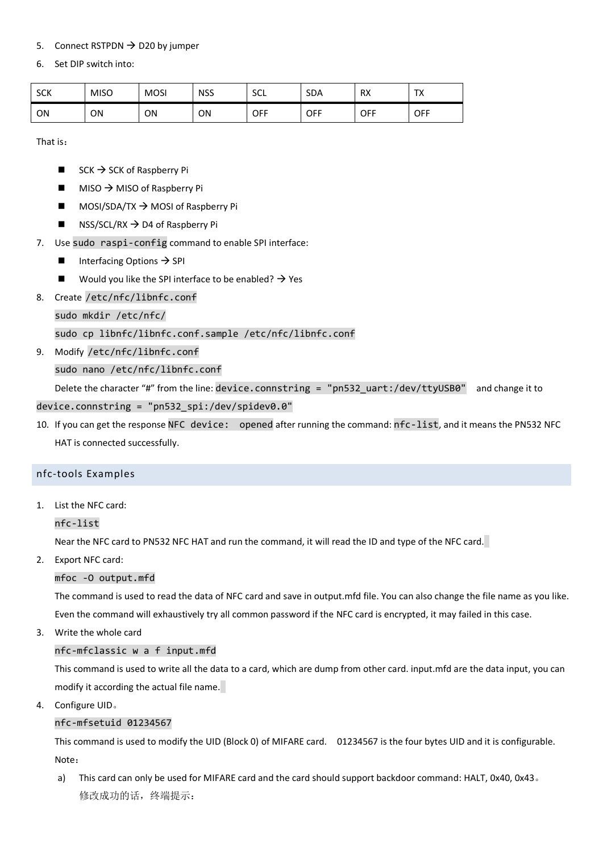# 5. Connect RSTPDN  $\rightarrow$  D20 by jumper

# 6. Set DIP switch into:

| c <sub>W</sub><br>эcк | <b>MISO</b> | <b>MOSI</b> | <b>NSS</b> | <b>SCL</b> | <b>SDA</b> | <b>RX</b>  | $\mathbf{r}$<br>$\overline{1\wedge}$ |
|-----------------------|-------------|-------------|------------|------------|------------|------------|--------------------------------------|
| ON                    | ΟN          | ΟN          | ON         | OFF        | OFF        | <b>OFF</b> | OFF                                  |

That is:

- $\blacksquare$  SCK  $\rightarrow$  SCK of Raspberry Pi
- $\blacksquare$  MISO  $\rightarrow$  MISO of Raspberry Pi
- $\blacksquare$  MOSI/SDA/TX  $\rightarrow$  MOSI of Raspberry Pi
- NSS/SCL/RX  $\rightarrow$  D4 of Raspberry Pi
- 7. Use sudo raspi-config command to enable SPI interface:
	- Interfacing Options  $\rightarrow$  SPI
	- Would you like the SPI interface to be enabled?  $\rightarrow$  Yes
- 8. Create /etc/nfc/libnfc.conf

sudo mkdir /etc/nfc/

# sudo cp libnfc/libnfc.conf.sample /etc/nfc/libnfc.conf

9. Modify /etc/nfc/libnfc.conf

sudo nano /etc/nfc/libnfc.conf

Delete the character "#" from the line: device.connstring = "pn532\_uart:/dev/ttyUSB0" and change it to

- device.connstring = "pn532\_spi:/dev/spidev0.0"
- 10. If you can get the response NFC device: opened after running the command: nfc-list, and it means the PN532 NFC HAT is connected successfully.

## nfc-tools Examples

1. List the NFC card:

nfc-list

Near the NFC card to PN532 NFC HAT and run the command, it will read the ID and type of the NFC card.

2. Export NFC card:

## mfoc -O output.mfd

The command is used to read the data of NFC card and save in output.mfd file. You can also change the file name as you like. Even the command will exhaustively try all common password if the NFC card is encrypted, it may failed in this case.

3. Write the whole card

## nfc-mfclassic w a f input.mfd

This command is used to write all the data to a card, which are dump from other card. input.mfd are the data input, you can modify it according the actual file name.

4. Configure UID。

# nfc-mfsetuid 01234567

This command is used to modify the UID (Block 0) of MIFARE card. 01234567 is the four bytes UID and it is configurable. Note:

a) This card can only be used for MIFARE card and the card should support backdoor command: HALT, 0x40, 0x43。 修改成功的话,终端提示: